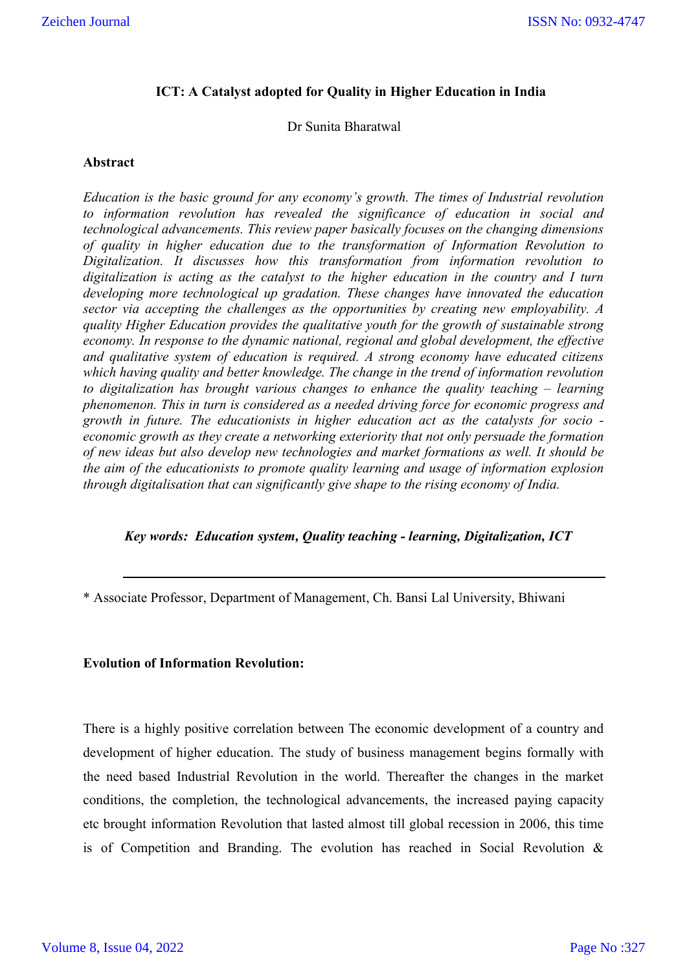## **ICT: A Catalyst adopted for Quality in Higher Education in India**

Dr Sunita Bharatwal

#### **Abstract**

*Education is the basic ground for any economy's growth. The times of Industrial revolution to information revolution has revealed the significance of education in social and technological advancements. This review paper basically focuses on the changing dimensions of quality in higher education due to the transformation of Information Revolution to Digitalization. It discusses how this transformation from information revolution to digitalization is acting as the catalyst to the higher education in the country and I turn developing more technological up gradation. These changes have innovated the education sector via accepting the challenges as the opportunities by creating new employability. A quality Higher Education provides the qualitative youth for the growth of sustainable strong economy. In response to the dynamic national, regional and global development, the effective and qualitative system of education is required. A strong economy have educated citizens which having quality and better knowledge. The change in the trend of information revolution to digitalization has brought various changes to enhance the quality teaching – learning phenomenon. This in turn is considered as a needed driving force for economic progress and growth in future. The educationists in higher education act as the catalysts for socio economic growth as they create a networking exteriority that not only persuade the formation of new ideas but also develop new technologies and market formations as well. It should be the aim of the educationists to promote quality learning and usage of information explosion through digitalisation that can significantly give shape to the rising economy of India.* 

## *Key words: Education system, Quality teaching - learning, Digitalization, ICT*

\* Associate Professor, Department of Management, Ch. Bansi Lal University, Bhiwani

## **Evolution of Information Revolution:**

There is a highly positive correlation between The economic development of a country and development of higher education. The study of business management begins formally with the need based Industrial Revolution in the world. Thereafter the changes in the market conditions, the completion, the technological advancements, the increased paying capacity etc brought information Revolution that lasted almost till global recession in 2006, this time is of Competition and Branding. The evolution has reached in Social Revolution &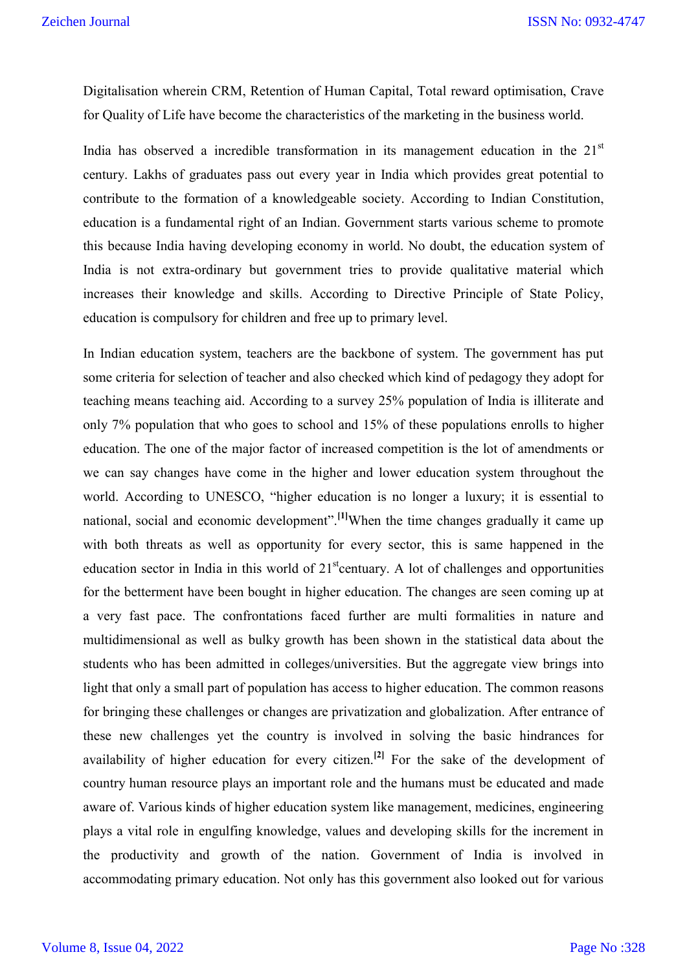Digitalisation wherein CRM, Retention of Human Capital, Total reward optimisation, Crave for Quality of Life have become the characteristics of the marketing in the business world.

India has observed a incredible transformation in its management education in the  $21<sup>st</sup>$ century. Lakhs of graduates pass out every year in India which provides great potential to contribute to the formation of a knowledgeable society. According to Indian Constitution, education is a fundamental right of an Indian. Government starts various scheme to promote this because India having developing economy in world. No doubt, the education system of India is not extra-ordinary but government tries to provide qualitative material which increases their knowledge and skills. According to Directive Principle of State Policy, education is compulsory for children and free up to primary level.

In Indian education system, teachers are the backbone of system. The government has put some criteria for selection of teacher and also checked which kind of pedagogy they adopt for teaching means teaching aid. According to a survey 25% population of India is illiterate and only 7% population that who goes to school and 15% of these populations enrolls to higher education. The one of the major factor of increased competition is the lot of amendments or we can say changes have come in the higher and lower education system throughout the world. According to UNESCO, "higher education is no longer a luxury; it is essential to national, social and economic development".**[1]**When the time changes gradually it came up with both threats as well as opportunity for every sector, this is same happened in the education sector in India in this world of  $21<sup>st</sup>$  centuary. A lot of challenges and opportunities for the betterment have been bought in higher education. The changes are seen coming up at a very fast pace. The confrontations faced further are multi formalities in nature and multidimensional as well as bulky growth has been shown in the statistical data about the students who has been admitted in colleges/universities. But the aggregate view brings into light that only a small part of population has access to higher education. The common reasons for bringing these challenges or changes are privatization and globalization. After entrance of these new challenges yet the country is involved in solving the basic hindrances for availability of higher education for every citizen. **[2]** For the sake of the development of country human resource plays an important role and the humans must be educated and made aware of. Various kinds of higher education system like management, medicines, engineering plays a vital role in engulfing knowledge, values and developing skills for the increment in the productivity and growth of the nation. Government of India is involved in accommodating primary education. Not only has this government also looked out for various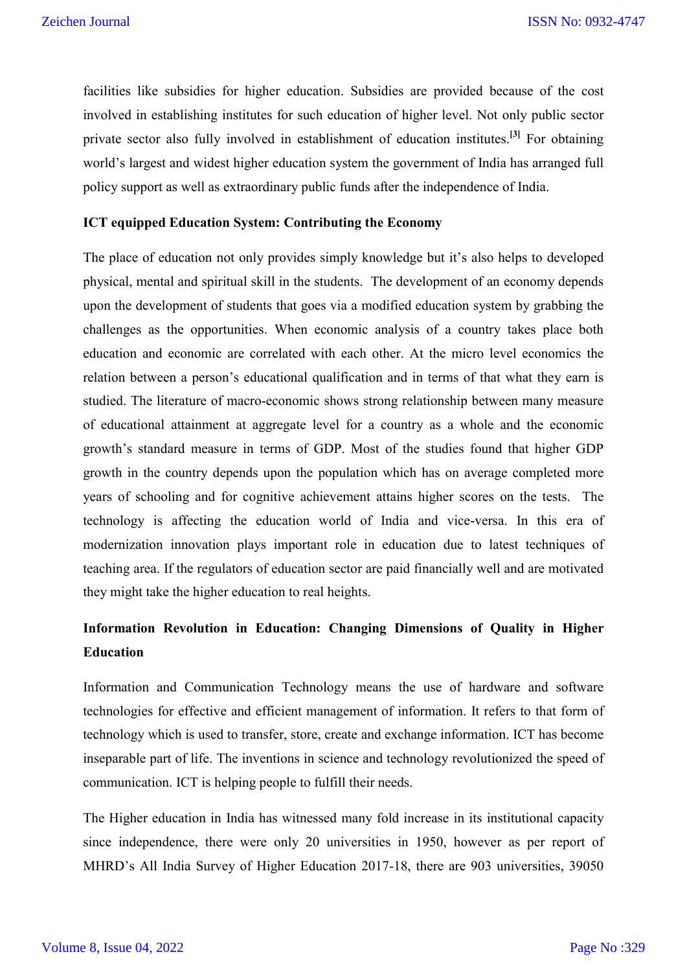facilities like subsidies for higher education. Subsidies are provided because of the cost involved in establishing institutes for such education of higher level. Not only public sector private sector also fully involved in establishment of education institutes. **[3]** For obtaining world's largest and widest higher education system the government of India has arranged full policy support as well as extraordinary public funds after the independence of India.

#### **ICT equipped Education System: Contributing the Economy**

The place of education not only provides simply knowledge but it's also helps to developed physical, mental and spiritual skill in the students. The development of an economy depends upon the development of students that goes via a modified education system by grabbing the challenges as the opportunities. When economic analysis of a country takes place both education and economic are correlated with each other. At the micro level economics the relation between a person's educational qualification and in terms of that what they earn is studied. The literature of macro-economic shows strong relationship between many measure of educational attainment at aggregate level for a country as a whole and the economic growth's standard measure in terms of GDP. Most of the studies found that higher GDP growth in the country depends upon the population which has on average completed more years of schooling and for cognitive achievement attains higher scores on the tests. The technology is affecting the education world of India and vice-versa. In this era of modernization innovation plays important role in education due to latest techniques of teaching area. If the regulators of education sector are paid financially well and are motivated they might take the higher education to real heights.

# **Information Revolution in Education: Changing Dimensions of Quality in Higher Education**

Information and Communication Technology means the use of hardware and software technologies for effective and efficient management of information. It refers to that form of technology which is used to transfer, store, create and exchange information. ICT has become inseparable part of life. The inventions in science and technology revolutionized the speed of communication. ICT is helping people to fulfill their needs.

The Higher education in India has witnessed many fold increase in its institutional capacity since independence, there were only 20 universities in 1950, however as per report of MHRD's All India Survey of Higher Education 2017-18, there are 903 universities, 39050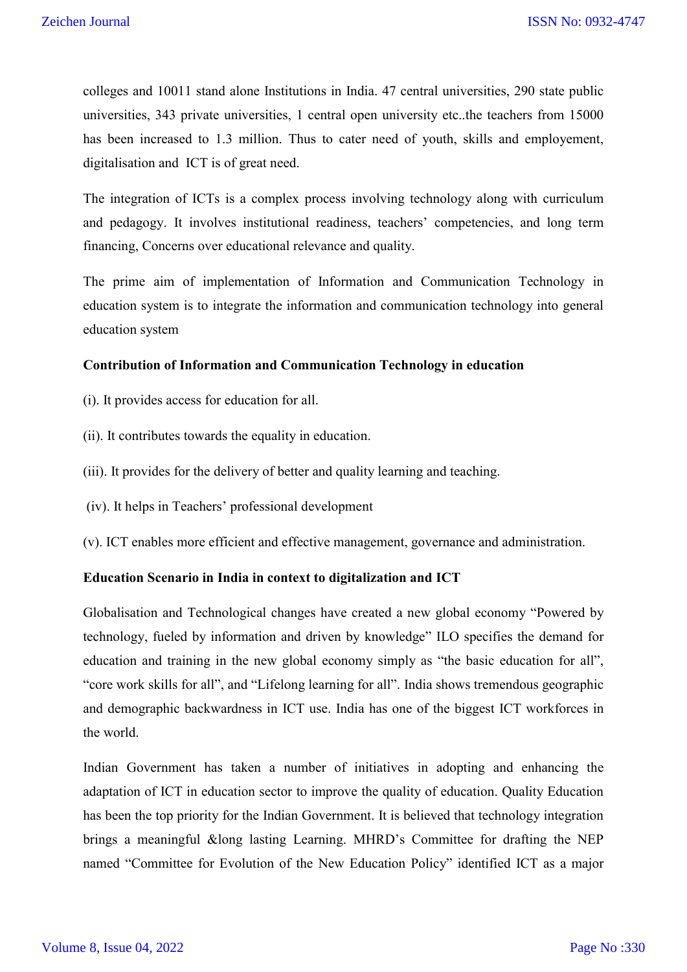colleges and 10011 stand alone Institutions in India. 47 central universities, 290 state public universities, 343 private universities, 1 central open university etc..the teachers from 15000 has been increased to 1.3 million. Thus to cater need of youth, skills and employement, digitalisation and ICT is of great need.

The integration of ICTs is a complex process involving technology along with curriculum and pedagogy. It involves institutional readiness, teachers' competencies, and long term financing, Concerns over educational relevance and quality.

The prime aim of implementation of Information and Communication Technology in education system is to integrate the information and communication technology into general education system

#### **Contribution of Information and Communication Technology in education**

- (i). It provides access for education for all.
- (ii). It contributes towards the equality in education.
- (iii). It provides for the delivery of better and quality learning and teaching.
- (iv). It helps in Teachers' professional development
- (v). ICT enables more efficient and effective management, governance and administration.

## **Education Scenario in India in context to digitalization and ICT**

Globalisation and Technological changes have created a new global economy "Powered by technology, fueled by information and driven by knowledge" ILO specifies the demand for education and training in the new global economy simply as "the basic education for all", "core work skills for all", and "Lifelong learning for all". India shows tremendous geographic and demographic backwardness in ICT use. India has one of the biggest ICT workforces in the world.

Indian Government has taken a number of initiatives in adopting and enhancing the adaptation of ICT in education sector to improve the quality of education. Quality Education has been the top priority for the Indian Government. It is believed that technology integration brings a meaningful &long lasting Learning. MHRD's Committee for drafting the NEP named "Committee for Evolution of the New Education Policy" identified ICT as a major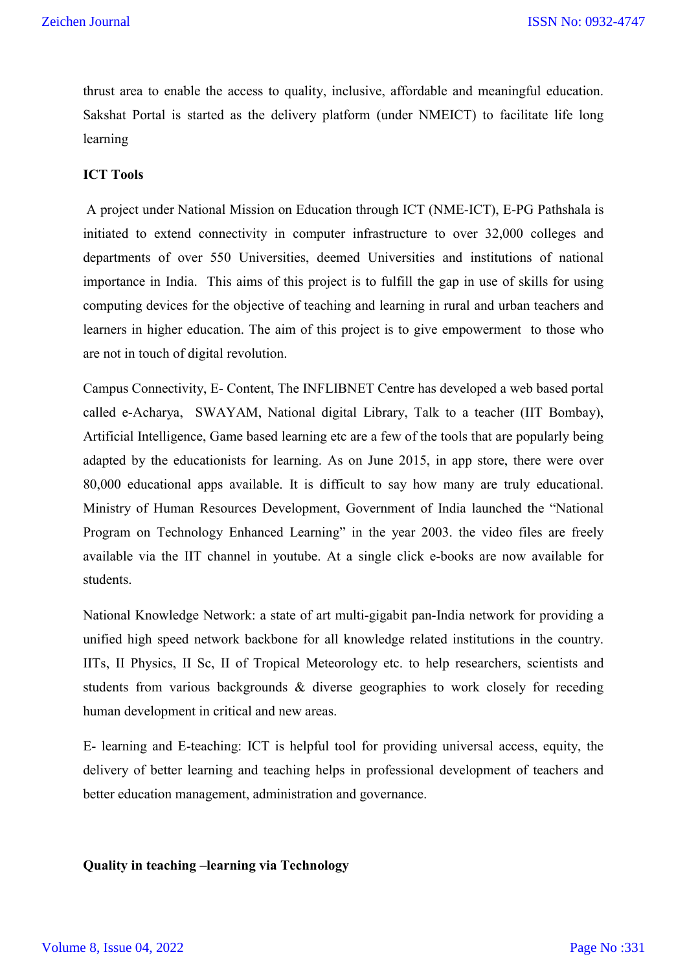thrust area to enable the access to quality, inclusive, affordable and meaningful education. Sakshat Portal is started as the delivery platform (under NMEICT) to facilitate life long learning

# **ICT Tools**

A project under National Mission on Education through ICT (NME-ICT), E-PG Pathshala is initiated to extend connectivity in computer infrastructure to over 32,000 colleges and departments of over 550 Universities, deemed Universities and institutions of national importance in India. This aims of this project is to fulfill the gap in use of skills for using computing devices for the objective of teaching and learning in rural and urban teachers and learners in higher education. The aim of this project is to give empowerment to those who are not in touch of digital revolution.

Campus Connectivity, E- Content, The INFLIBNET Centre has developed a web based portal called e-Acharya, SWAYAM, National digital Library, Talk to a teacher (IIT Bombay), Artificial Intelligence, Game based learning etc are a few of the tools that are popularly being adapted by the educationists for learning. As on June 2015, in app store, there were over 80,000 educational apps available. It is difficult to say how many are truly educational. Ministry of Human Resources Development, Government of India launched the "National Program on Technology Enhanced Learning" in the year 2003. the video files are freely available via the IIT channel in youtube. At a single click e-books are now available for students.

National Knowledge Network: a state of art multi-gigabit pan-India network for providing a unified high speed network backbone for all knowledge related institutions in the country. IITs, II Physics, II Sc, II of Tropical Meteorology etc. to help researchers, scientists and students from various backgrounds & diverse geographies to work closely for receding human development in critical and new areas.

E- learning and E-teaching: ICT is helpful tool for providing universal access, equity, the delivery of better learning and teaching helps in professional development of teachers and better education management, administration and governance.

**Quality in teaching –learning via Technology**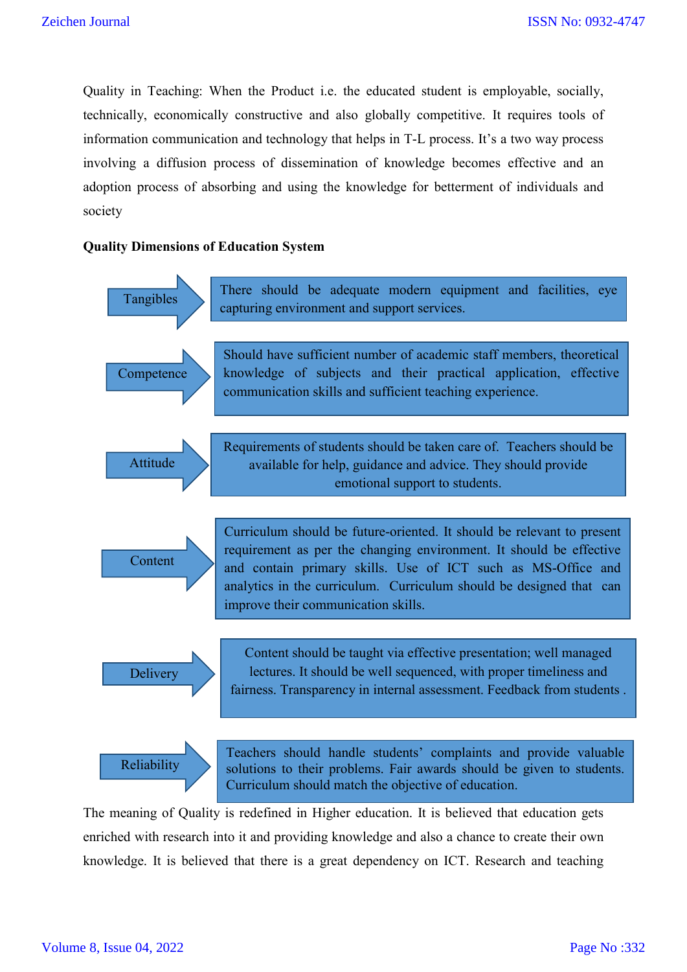Quality in Teaching: When the Product i.e. the educated student is employable, socially, technically, economically constructive and also globally competitive. It requires tools of information communication and technology that helps in T-L process. It's a two way process involving a diffusion process of dissemination of knowledge becomes effective and an adoption process of absorbing and using the knowledge for betterment of individuals and society

#### **Quality Dimensions of Education System**



The meaning of Quality is redefined in Higher education. It is believed that education gets enriched with research into it and providing knowledge and also a chance to create their own knowledge. It is believed that there is a great dependency on ICT. Research and teaching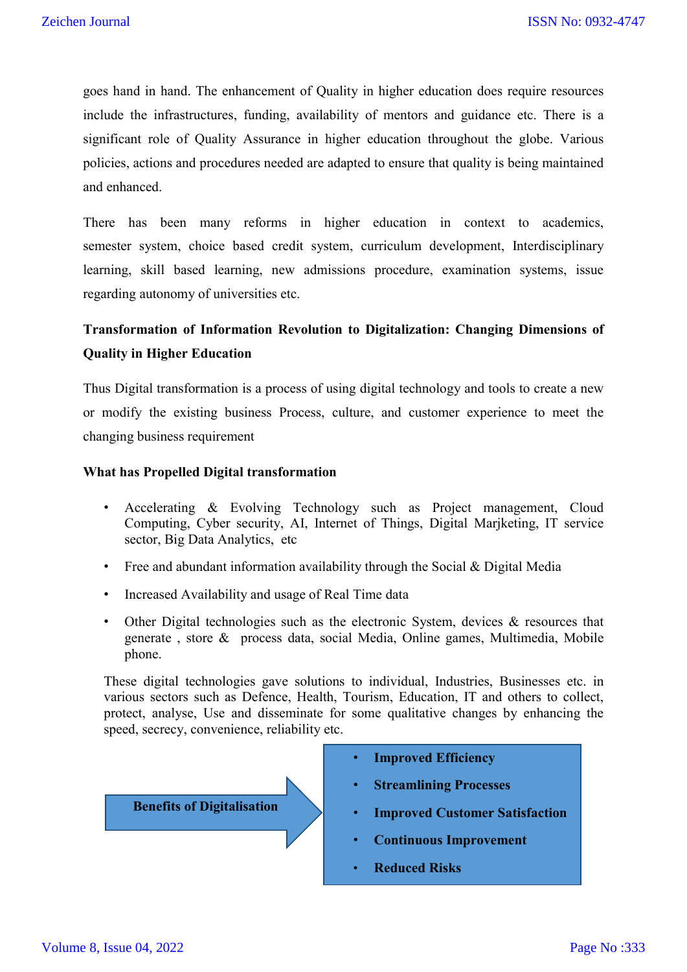goes hand in hand. The enhancement of Quality in higher education does require resources include the infrastructures, funding, availability of mentors and guidance etc. There is a significant role of Quality Assurance in higher education throughout the globe. Various policies, actions and procedures needed are adapted to ensure that quality is being maintained and enhanced.

There has been many reforms in higher education in context to academics, semester system, choice based credit system, curriculum development, Interdisciplinary learning, skill based learning, new admissions procedure, examination systems, issue regarding autonomy of universities etc.

# **Transformation of Information Revolution to Digitalization: Changing Dimensions of Quality in Higher Education**

Thus Digital transformation is a process of using digital technology and tools to create a new or modify the existing business Process, culture, and customer experience to meet the changing business requirement

#### **What has Propelled Digital transformation**

- Accelerating & Evolving Technology such as Project management, Cloud Computing, Cyber security, AI, Internet of Things, Digital Marjketing, IT service sector, Big Data Analytics, etc
- Free and abundant information availability through the Social & Digital Media
- Increased Availability and usage of Real Time data
- Other Digital technologies such as the electronic System, devices & resources that generate , store & process data, social Media, Online games, Multimedia, Mobile phone.

These digital technologies gave solutions to individual, Industries, Businesses etc. in various sectors such as Defence, Health, Tourism, Education, IT and others to collect, protect, analyse, Use and disseminate for some qualitative changes by enhancing the speed, secrecy, convenience, reliability etc.



- **Improved Efficiency**
- **Streamlining Processes**
- **Improved Customer Satisfaction**
- **Continuous Improvement**
- **Reduced Risks**